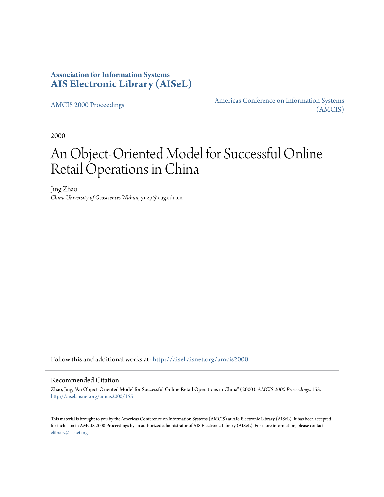# **Association for Information Systems [AIS Electronic Library \(AISeL\)](http://aisel.aisnet.org?utm_source=aisel.aisnet.org%2Famcis2000%2F155&utm_medium=PDF&utm_campaign=PDFCoverPages)**

[AMCIS 2000 Proceedings](http://aisel.aisnet.org/amcis2000?utm_source=aisel.aisnet.org%2Famcis2000%2F155&utm_medium=PDF&utm_campaign=PDFCoverPages)

[Americas Conference on Information Systems](http://aisel.aisnet.org/amcis?utm_source=aisel.aisnet.org%2Famcis2000%2F155&utm_medium=PDF&utm_campaign=PDFCoverPages) [\(AMCIS\)](http://aisel.aisnet.org/amcis?utm_source=aisel.aisnet.org%2Famcis2000%2F155&utm_medium=PDF&utm_campaign=PDFCoverPages)

2000

# An Object-Oriented Model for Successful Online Retail Operations in China

Jing Zhao *China University of Geosciences Wuhan*, yuzp@cug.edu.cn

Follow this and additional works at: [http://aisel.aisnet.org/amcis2000](http://aisel.aisnet.org/amcis2000?utm_source=aisel.aisnet.org%2Famcis2000%2F155&utm_medium=PDF&utm_campaign=PDFCoverPages)

## Recommended Citation

Zhao, Jing, "An Object-Oriented Model for Successful Online Retail Operations in China" (2000). *AMCIS 2000 Proceedings*. 155. [http://aisel.aisnet.org/amcis2000/155](http://aisel.aisnet.org/amcis2000/155?utm_source=aisel.aisnet.org%2Famcis2000%2F155&utm_medium=PDF&utm_campaign=PDFCoverPages)

This material is brought to you by the Americas Conference on Information Systems (AMCIS) at AIS Electronic Library (AISeL). It has been accepted for inclusion in AMCIS 2000 Proceedings by an authorized administrator of AIS Electronic Library (AISeL). For more information, please contact [elibrary@aisnet.org.](mailto:elibrary@aisnet.org%3E)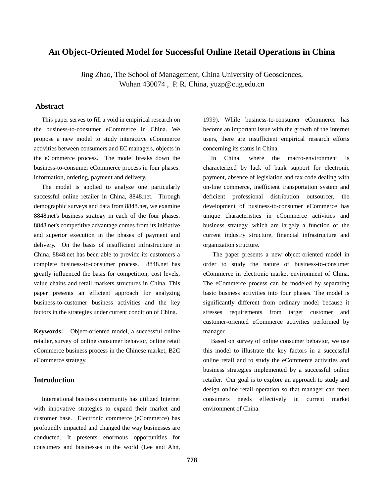# **An Object-Oriented Model for Successful Online Retail Operations in China**

Jing Zhao, The School of Management, China University of Geosciences, Wuhan 430074 , P. R. China, yuzp@cug.edu.cn

## **Abstract**

 This paper serves to fill a void in empirical research on the business-to-consumer eCommerce in China. We propose a new model to study interactive eCommerce activities between consumers and EC managers, objects in the eCommerce process. The model breaks down the business-to-consumer eCommerce process in four phases: information, ordering, payment and delivery.

 The model is applied to analyze one particularly successful online retailer in China, 8848.net. Through demographic surveys and data from 8848.net, we examine 8848.net's business strategy in each of the four phases. 8848.net's competitive advantage comes from its initiative and superior execution in the phases of payment and delivery. On the basis of insufficient infrastructure in China, 8848.net has been able to provide its customers a complete business-to-consumer process. 8848.net has greatly influenced the basis for competition, cost levels, value chains and retail markets structures in China. This paper presents an efficient approach for analyzing business-to-customer business activities and the key factors in the strategies under current condition of China.

**Keywords:** Object-oriented model, a successful online retailer, survey of online consumer behavior, online retail eCommerce business process in the Chinese market, B2C eCommerce strategy.

## **Introduction**

 International business community has utilized Internet with innovative strategies to expand their market and customer base. Electronic commerce (eCommerce) has profoundly impacted and changed the way businesses are conducted. It presents enormous opportunities for consumers and businesses in the world (Lee and Ahn,

1999). While business-to-consumer eCommerce has become an important issue with the growth of the Internet users, there are insufficient empirical research efforts concerning its status in China.

 In China, where the macro-environment is characterized by lack of bank support for electronic payment, absence of legislation and tax code dealing with on-line commerce, inefficient transportation system and deficient professional distribution outsourcer, the development of business-to-consumer eCommerce has unique characteristics in eCommerce activities and business strategy, which are largely a function of the current industry structure, financial infrastructure and organization structure.

 The paper presents a new object-oriented model in order to study the nature of business-to-consumer eCommerce in electronic market environment of China. The eCommerce process can be modeled by separating basic business activities into four phases. The model is significantly different from ordinary model because it stresses requirements from target customer and customer-oriented eCommerce activities performed by manager.

 Based on survey of online consumer behavior, we use this model to illustrate the key factors in a successful online retail and to study the eCommerce activities and business strategies implemented by a successful online retailer. Our goal is to explore an approach to study and design online retail operation so that manager can meet consumers needs effectively in current market environment of China.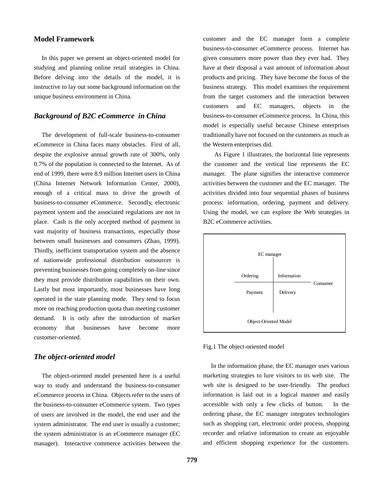## **Model Framework**

 In this paper we present an object-oriented model for studying and planning online retail strategies in China. Before delving into the details of the model, it is instructive to lay out some background information on the unique business environment in China.

## *Background of B2C eCommerce in China*

 The development of full-scale business-to-consumer eCommerce in China faces many obstacles. First of all, despite the explosive annual growth rate of 300%, only 0.7% of the population is connected to the Internet. As of end of 1999, there were 8.9 million Internet users in China (China Internet Network Information Center, 2000), enough of a critical mass to drive the growth of business-to-consumer eCommerce. Secondly, electronic payment system and the associated regulations are not in place. Cash is the only accepted method of payment in vast majority of business transactions, especially those between small businesses and consumers (Zhao, 1999). Thirdly, inefficient transportation system and the absence of nationwide professional distribution outsourcer is preventing businesses from going completely on-line since they must provide distribution capabilities on their own. Lastly but most importantly, most businesses have long operated in the state planning mode. They tend to focus more on reaching production quota than meeting customer demand. It is only after the introduction of market economy that businesses have become more customer-oriented.

#### *The object-oriented model*

 The object-oriented model presented here is a useful way to study and understand the business-to-consumer eCommerce process in China. Objects refer to the users of the business-to-consumer eCommerce system. Two types of users are involved in the model, the end user and the system administrator. The end user is usually a customer; the system administrator is an eCommerce manager (EC manager). Interactive commerce activities between the customer and the EC manager form a complete business-to-consumer eCommerce process. Internet has given consumers more power than they ever had. They have at their disposal a vast amount of information about products and pricing. They have become the focus of the business strategy. This model examines the requirement from the target customers and the interaction between customers and EC managers, objects in the business-to-consumer eCommerce process. In China, this model is especially useful because Chinese enterprises traditionally have not focused on the customers as much as the Western enterprises did.

As Figure 1 illustrates, the horizontal line represents the customer and the vertical line represents the EC manager. The plane signifies the interactive commerce activities between the customer and the EC manager. The activities divided into four sequential phases of business process: information, ordering, payment and delivery. Using the model, we can explore the Web strategies in B2C eCommerce activities.



#### Fig.1 The object-oriented model

 In the information phase, the EC manager uses various marketing strategies to lure visitors to its web site. The web site is designed to be user-friendly. The product information is laid out in a logical manner and easily accessible with only a few clicks of button. In the ordering phase, the EC manager integrates technologies such as shopping cart, electronic order process, shopping recorder and relative information to create an enjoyable and efficient shopping experience for the customers.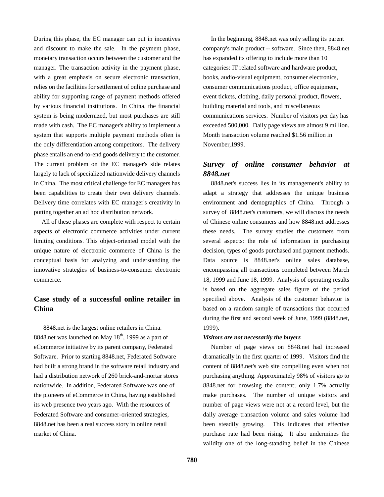During this phase, the EC manager can put in incentives and discount to make the sale. In the payment phase, monetary transaction occurs between the customer and the manager. The transaction activity in the payment phase, with a great emphasis on secure electronic transaction, relies on the facilities for settlement of online purchase and ability for supporting range of payment methods offered by various financial institutions. In China, the financial system is being modernized, but most purchases are still made with cash. The EC manager's ability to implement a system that supports multiple payment methods often is the only differentiation among competitors. The delivery phase entails an end-to-end goods delivery to the customer. The current problem on the EC manager's side relates largely to lack of specialized nationwide delivery channels in China. The most critical challenge for EC managers has been capabilities to create their own delivery channels. Delivery time correlates with EC manager's creativity in putting together an ad hoc distribution network.

 All of these phases are complete with respect to certain aspects of electronic commerce activities under current limiting conditions. This object-oriented model with the unique nature of electronic commerce of China is the conceptual basis for analyzing and understanding the innovative strategies of business-to-consumer electronic commerce.

# **Case study of a successful online retailer in China**

8848.net is the largest online retailers in China. 8848.net was launched on May  $18<sup>th</sup>$ , 1999 as a part of eCommerce initiative by its parent company, Federated Software. Prior to starting 8848.net, Federated Software had built a strong brand in the software retail industry and had a distribution network of 260 brick-and-mortar stores nationwide. In addition, Federated Software was one of the pioneers of eCommerce in China, having established its web presence two years ago. With the resources of Federated Software and consumer-oriented strategies, 8848.net has been a real success story in online retail market of China.

 In the beginning, 8848.net was only selling its parent company's main product -- software. Since then, 8848.net has expanded its offering to include more than 10 categories: IT related software and hardware product, books, audio-visual equipment, consumer electronics, consumer communications product, office equipment, event tickets, clothing, daily personal product, flowers, building material and tools, and miscellaneous communications services. Number of visitors per day has exceeded 500,000. Daily page views are almost 9 million. Month transaction volume reached \$1.56 million in November,1999.

# *Survey of online consumer behavior at 8848.net*

 8848.net's success lies in its management's ability to adapt a strategy that addresses the unique business environment and demographics of China. Through a survey of 8848.net's customers, we will discuss the needs of Chinese online consumers and how 8848.net addresses these needs. The survey studies the customers from several aspects: the role of information in purchasing decision, types of goods purchased and payment methods. Data source is 8848.net's online sales database, encompassing all transactions completed between March 18, 1999 and June 18, 1999. Analysis of operating results is based on the aggregate sales figure of the period specified above. Analysis of the customer behavior is based on a random sample of transactions that occurred during the first and second week of June, 1999 (8848.net, 1999).

#### *Visitors are not necessarily the buyers*

 Number of page views on 8848.net had increased dramatically in the first quarter of 1999. Visitors find the content of 8848.net's web site compelling even when not purchasing anything. Approximately 98% of visitors go to 8848.net for browsing the content; only 1.7% actually make purchases. The number of unique visitors and number of page views were not at a record level, but the daily average transaction volume and sales volume had been steadily growing. This indicates that effective purchase rate had been rising. It also undermines the validity one of the long-standing belief in the Chinese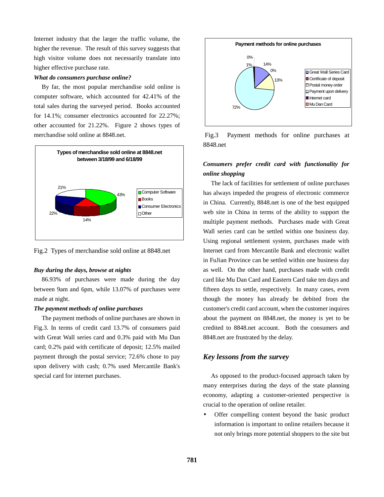Internet industry that the larger the traffic volume, the higher the revenue. The result of this survey suggests that high visitor volume does not necessarily translate into higher effective purchase rate.

#### *What do consumers purchase online?*

 By far, the most popular merchandise sold online is computer software, which accounted for 42.41% of the total sales during the surveyed period. Books accounted for 14.1%; consumer electronics accounted for 22.27%; other accounted for 21.22%. Figure 2 shows types of merchandise sold online at 8848.net.





#### *Buy during the days, browse at nights*

 86.93% of purchases were made during the day between 9am and 6pm, while 13.07% of purchases were made at night.

#### *The payment methods of online purchases*

 The payment methods of online purchases are shown in Fig.3. In terms of credit card 13.7% of consumers paid with Great Wall series card and 0.3% paid with Mu Dan card; 0.2% paid with certificate of deposit; 12.5% mailed payment through the postal service; 72.6% chose to pay upon delivery with cash; 0.7% used Mercantile Bank's special card for internet purchases.





# *Consumers prefer credit card with functionality for online shopping*

 The lack of facilities for settlement of online purchases has always impeded the progress of electronic commerce in China. Currently, 8848.net is one of the best equipped web site in China in terms of the ability to support the multiple payment methods. Purchases made with Great Wall series card can be settled within one business day. Using regional settlement system, purchases made with Internet card from Mercantile Bank and electronic wallet in FuJian Province can be settled within one business day as well. On the other hand, purchases made with credit card like Mu Dan Card and Eastern Card take ten days and fifteen days to settle, respectively. In many cases, even though the money has already be debited from the customer's credit card account, when the customer inquires about the payment on 8848.net, the money is yet to be credited to 8848.net account. Both the consumers and 8848.net are frustrated by the delay.

## *Key lessons from the survey*

 As opposed to the product-focused approach taken by many enterprises during the days of the state planning economy, adapting a customer-oriented perspective is crucial to the operation of online retailer.

Offer compelling content beyond the basic product information is important to online retailers because it not only brings more potential shoppers to the site but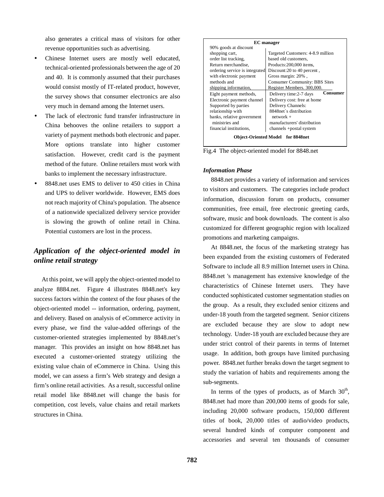also generates a critical mass of visitors for other revenue opportunities such as advertising.

- Chinese Internet users are mostly well educated, technical-oriented professionals between the age of 20 and 40. It is commonly assumed that their purchases would consist mostly of IT-related product, however, the survey shows that consumer electronics are also very much in demand among the Internet users.
- The lack of electronic fund transfer infrastructure in China behooves the online retailers to support a variety of payment methods both electronic and paper. More options translate into higher customer satisfaction. However, credit card is the payment method of the future. Online retailers must work with banks to implement the necessary infrastructure.
- 8848.net uses EMS to deliver to 450 cities in China and UPS to deliver worldwide. However, EMS does not reach majority of China's population. The absence of a nationwide specialized delivery service provider is slowing the growth of online retail in China. Potential customers are lost in the process.

# *Application of the object-oriented model in online retail strategy*

 At this point, we will apply the object-oriented model to analyze 8884.net. Figure 4 illustrates 8848.net's key success factors within the context of the four phases of the object-oriented model -- information, ordering, payment, and delivery. Based on analysis of eCommerce activity in every phase, we find the value-added offerings of the customer-oriented strategies implemented by 8848.net's manager. This provides an insight on how 8848.net has executed a customer-oriented strategy utilizing the existing value chain of eCommerce in China. Using this model, we can assess a firm's Web strategy and design a firm's online retail activities. As a result, successful online retail model like 8848.net will change the basis for competition, cost levels, value chains and retail markets structures in China.

| <b>EC</b> manager                 |                                      |
|-----------------------------------|--------------------------------------|
| 90% goods at discount             |                                      |
| shopping cart,                    | Targeted Customers: 4-8.9 million    |
| order list tracking,              | based old customers.                 |
| Return merchandise.               | Products:200,000 items,              |
| ordering service is integrated    | Discount:20 to 40 percent,           |
| with electronic payment           | Gross margin: 20%,                   |
| methods and                       | <b>Consumer Community: BBS Sites</b> |
| shipping information,             | Register Members. 300,000.           |
| Eight payment methods,            | Consumer<br>Delivery time: 2-7 days  |
| Electronic payment channel        | Delivery cost: free at home          |
| Supported by parties              | Delivery Channels:                   |
| relationship with                 | 8848net's distribution               |
| banks, relative government        | $network +$                          |
| ministries and                    | manufacturers' distribution          |
| financial institutions,           | channels +postal system              |
| Object-Oriented Model for 8848net |                                      |



#### *Information Phase*

 8848.net provides a variety of information and services to visitors and customers. The categories include product information, discussion forum on products, consumer communities, free email, free electronic greeting cards, software, music and book downloads. The content is also customized for different geographic region with localized promotions and marketing campaigns.

 At 8848.net, the focus of the marketing strategy has been expanded from the existing customers of Federated Software to include all 8.9 million Internet users in China. 8848.net 's management has extensive knowledge of the characteristics of Chinese Internet users. They have conducted sophisticated customer segmentation studies on the group. As a result, they excluded senior citizens and under-18 youth from the targeted segment. Senior citizens are excluded because they are slow to adopt new technology. Under-18 youth are excluded because they are under strict control of their parents in terms of Internet usage. In addition, both groups have limited purchasing power. 8848.net further breaks down the target segment to study the variation of habits and requirements among the sub-segments.

In terms of the types of products, as of March  $30<sup>th</sup>$ , 8848.net had more than 200,000 items of goods for sale, including 20,000 software products, 150,000 different titles of book, 20,000 titles of audio/video products, several hundred kinds of computer component and accessories and several ten thousands of consumer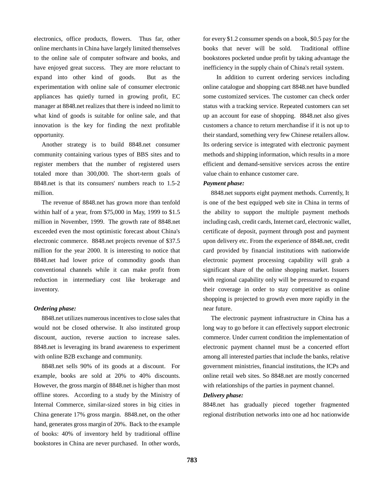electronics, office products, flowers. Thus far, other online merchants in China have largely limited themselves to the online sale of computer software and books, and have enjoyed great success. They are more reluctant to expand into other kind of goods. But as the experimentation with online sale of consumer electronic appliances has quietly turned in growing profit, EC manager at 8848.net realizes that there is indeed no limit to what kind of goods is suitable for online sale, and that innovation is the key for finding the next profitable opportunity.

 Another strategy is to build 8848.net consumer community containing various types of BBS sites and to register members that the number of registered users totaled more than 300,000. The short-term goals of 8848.net is that its consumers' numbers reach to 1.5-2 million.

 The revenue of 8848.net has grown more than tenfold within half of a year, from \$75,000 in May, 1999 to \$1.5 million in November, 1999. The growth rate of 8848.net exceeded even the most optimistic forecast about China's electronic commerce. 8848.net projects revenue of \$37.5 million for the year 2000. It is interesting to notice that 8848.net had lower price of commodity goods than conventional channels while it can make profit from reduction in intermediary cost like brokerage and inventory.

#### *Ordering phase:*

 8848.net utilizes numerous incentives to close sales that would not be closed otherwise. It also instituted group discount, auction, reverse auction to increase sales. 8848.net is leveraging its brand awareness to experiment with online B2B exchange and community.

 8848.net sells 90% of its goods at a discount. For example, books are sold at 20% to 40% discounts. However, the gross margin of 8848.net is higher than most offline stores. According to a study by the Ministry of Internal Commerce, similar-sized stores in big cities in China generate 17% gross margin. 8848.net, on the other hand, generates gross margin of 20%. Back to the example of books: 40% of inventory held by traditional offline bookstores in China are never purchased. In other words,

for every \$1.2 consumer spends on a book, \$0.5 pay for the books that never will be sold. Traditional offline bookstores pocketed undue profit by taking advantage the inefficiency in the supply chain of China's retail system.

In addition to current ordering services including online catalogue and shopping cart 8848.net have bundled some customized services. The customer can check order status with a tracking service. Repeated customers can set up an account for ease of shopping. 8848.net also gives customers a chance to return merchandise if it is not up to their standard, something very few Chinese retailers allow. Its ordering service is integrated with electronic payment methods and shipping information, which results in a more efficient and demand-sensitive services across the entire value chain to enhance customer care.

#### *Payment phase:*

 8848.net supports eight payment methods. Currently, It is one of the best equipped web site in China in terms of the ability to support the multiple payment methods including cash, credit cards, Internet card, electronic wallet, certificate of deposit, payment through post and payment upon delivery etc. From the experience of 8848.net, credit card provided by financial institutions with nationwide electronic payment processing capability will grab a significant share of the online shopping market. Issuers with regional capability only will be pressured to expand their coverage in order to stay competitive as online shopping is projected to growth even more rapidly in the near future.

 The electronic payment infrastructure in China has a long way to go before it can effectively support electronic commerce. Under current condition the implementation of electronic payment channel must be a concerted effort among all interested parties that include the banks, relative government ministries, financial institutions, the ICPs and online retail web sites. So 8848.net are mostly concerned with relationships of the parties in payment channel.

#### *Delivery phase:*

8848.net has gradually pieced together fragmented regional distribution networks into one ad hoc nationwide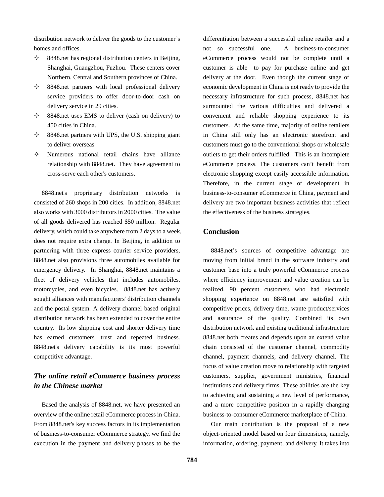distribution network to deliver the goods to the customer's homes and offices.

- $\div$  8848.net has regional distribution centers in Beijing, Shanghai, Guangzhou, Fuzhou. These centers cover Northern, Central and Southern provinces of China.
- $\div$  8848.net partners with local professional delivery service providers to offer door-to-door cash on delivery service in 29 cities.
- $\div$  8848.net uses EMS to deliver (cash on delivery) to 450 cities in China.
- $\div$  8848.net partners with UPS, the U.S. shipping giant to deliver overseas
- $\Diamond$  Numerous national retail chains have alliance relationship with 8848.net. They have agreement to cross-serve each other's customers.

 8848.net's proprietary distribution networks is consisted of 260 shops in 200 cities. In addition, 8848.net also works with 3000 distributors in 2000 cities. The value of all goods delivered has reached \$50 million. Regular delivery, which could take anywhere from 2 days to a week, does not require extra charge. In Beijing, in addition to partnering with three express courier service providers, 8848.net also provisions three automobiles available for emergency delivery. In Shanghai, 8848.net maintains a fleet of delivery vehicles that includes automobiles, motorcycles, and even bicycles. 8848.net has actively sought alliances with manufacturers' distribution channels and the postal system. A delivery channel based original distribution network has been extended to cover the entire country. Its low shipping cost and shorter delivery time has earned customers' trust and repeated business. 8848.net's delivery capability is its most powerful competitive advantage.

# *The online retail eCommerce business process in the Chinese market*

 Based the analysis of 8848.net, we have presented an overview of the online retail eCommerce process in China. From 8848.net's key success factors in its implementation of business-to-consumer eCommerce strategy, we find the execution in the payment and delivery phases to be the differentiation between a successful online retailer and a not so successful one. A business-to-consumer eCommerce process would not be complete until a customer is able to pay for purchase online and get delivery at the door. Even though the current stage of economic development in China is not ready to provide the necessary infrastructure for such process, 8848.net has surmounted the various difficulties and delivered a convenient and reliable shopping experience to its customers. At the same time, majority of online retailers in China still only has an electronic storefront and customers must go to the conventional shops or wholesale outlets to get their orders fulfilled. This is an incomplete eCommerce process. The customers can't benefit from electronic shopping except easily accessible information. Therefore, in the current stage of development in business-to-consumer eCommerce in China, payment and delivery are two important business activities that reflect the effectiveness of the business strategies.

## **Conclusion**

 8848.net's sources of competitive advantage are moving from initial brand in the software industry and customer base into a truly powerful eCommerce process where efficiency improvement and value creation can be realized. 90 percent customers who had electronic shopping experience on 8848.net are satisfied with competitive prices, delivery time, wante product/services and assurance of the quality. Combined its own distribution network and existing traditional infrastructure 8848.net both creates and depends upon an extend value chain consisted of the customer channel, commodity channel, payment channels, and delivery channel. The focus of value creation move to relationship with targeted customers, supplier, government ministries, financial institutions and delivery firms. These abilities are the key to achieving and sustaining a new level of performance, and a more competitive position in a rapidly changing business-to-consumer eCommerce marketplace of China.

 Our main contribution is the proposal of a new object-oriented model based on four dimensions, namely, information, ordering, payment, and delivery. It takes into